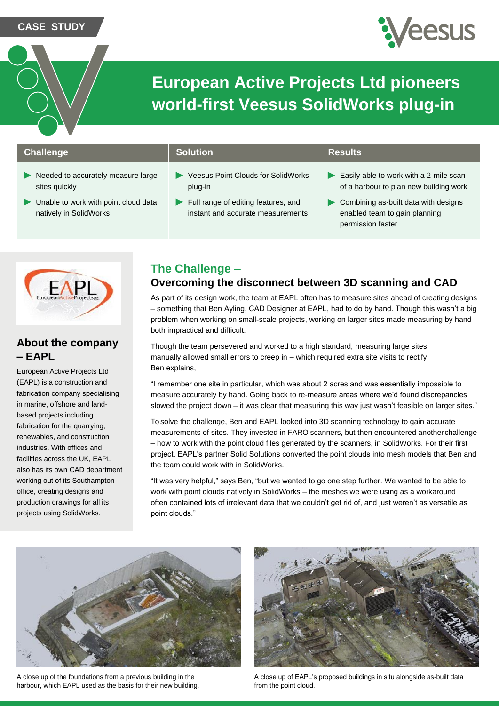**CASE STUDY**



# **European Active Projects Ltd pioneers world-first Veesus SolidWorks plug-in**

### **Challenge Solution Results Results**

- Needed to accurately measure large sites quickly
- $\blacktriangleright$ Unable to work with point cloud data natively in SolidWorks

- Veesus Point Clouds for SolidWorks plug-in
- Full range of editing features, and instant and accurate measurements

- Easily able to work with a 2-mile scan of a harbour to plan new building work
- **Combining as-built data with designs** enabled team to gain planning permission faster



## **About the company – EAPL**

European Active Projects Ltd (EAPL) is a construction and fabrication company specialising in marine, offshore and landbased projects including fabrication for the quarrying, renewables, and construction industries. With offices and facilities across the UK, EAPL also has its own CAD department working out of its Southampton office, creating designs and production drawings for all its projects using SolidWorks.

# **The Challenge –**

## **Overcoming the disconnect between 3D scanning and CAD**

As part of its design work, the team at EAPL often has to measure sites ahead of creating designs – something that Ben Ayling, CAD Designer at EAPL, had to do by hand. Though this wasn't a big problem when working on small-scale projects, working on larger sites made measuring by hand both impractical and difficult.

Though the team persevered and worked to a high standard, measuring large sites manually allowed small errors to creep in – which required extra site visits to rectify. Ben explains,

"I remember one site in particular, which was about 2 acres and was essentially impossible to measure accurately by hand. Going back to re-measure areas where we'd found discrepancies slowed the project down – it was clear that measuring this way just wasn't feasible on larger sites."

To solve the challenge, Ben and EAPL looked into 3D scanning technology to gain accurate measurements of sites. They invested in FARO scanners, but then encountered anotherchallenge – how to work with the point cloud files generated by the scanners, in SolidWorks. For their first project, EAPL's partner Solid Solutions converted the point clouds into mesh models that Ben and the team could work with in SolidWorks.

"It was very helpful," says Ben, "but we wanted to go one step further. We wanted to be able to work with point clouds natively in SolidWorks – the meshes we were using as a workaround often contained lots of irrelevant data that we couldn't get rid of, and just weren't as versatile as point clouds."



A close up of the foundations from a previous building in the harbour, which EAPL used as the basis for their new building.



A close up of EAPL's proposed buildings in situ alongside as-built data from the point cloud.